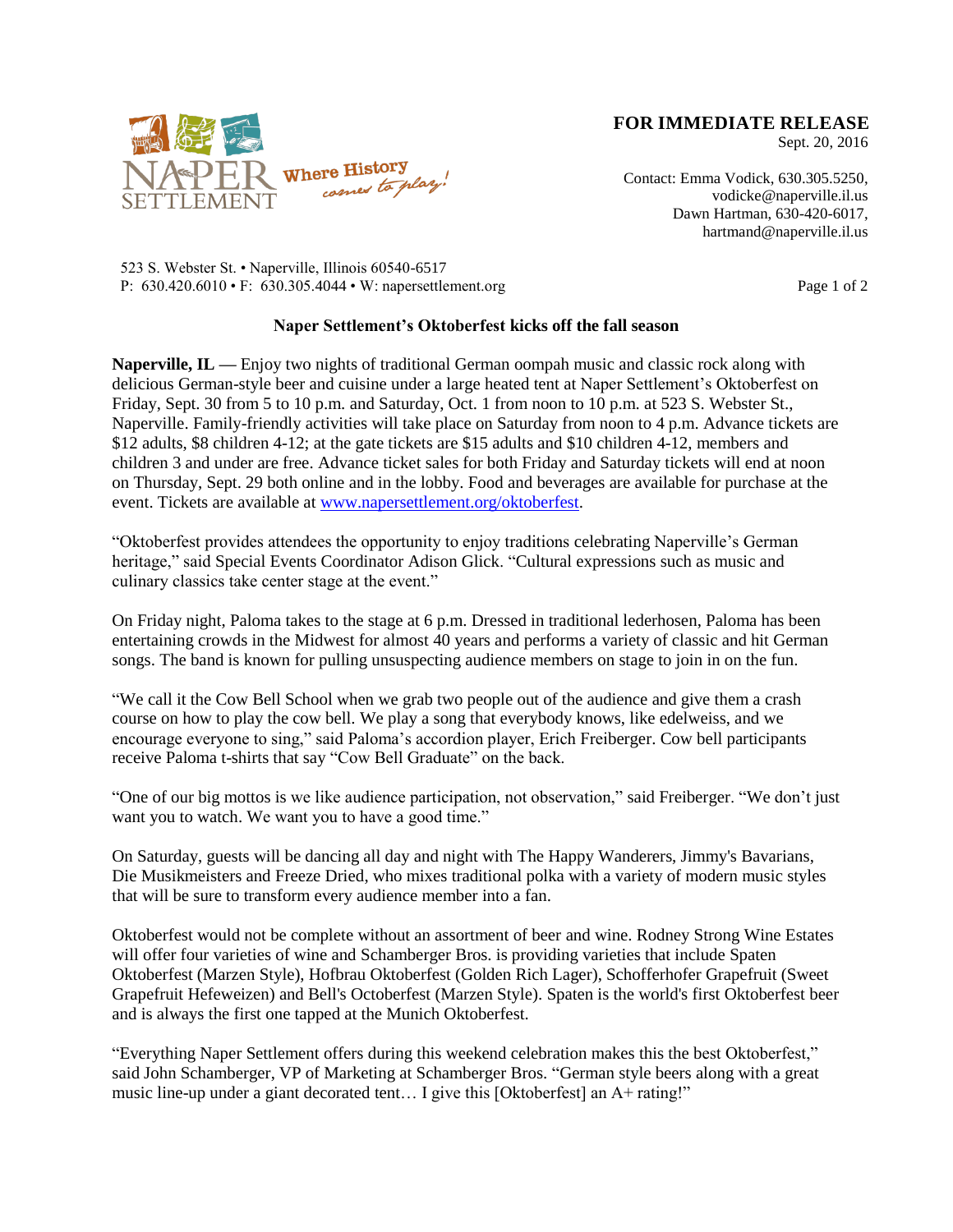

**FOR IMMEDIATE RELEASE**

Sept. 20, 2016

Contact: Emma Vodick, 630.305.5250, vodicke@naperville.il.us Dawn Hartman, 630-420-6017, hartmand@naperville.il.us

523 S. Webster St. • Naperville, Illinois 60540-6517 P: 630.420.6010 • F: 630.305.4044 • W: napersettlement.org Page 1 of 2

## **Naper Settlement's Oktoberfest kicks off the fall season**

**Naperville, IL —** Enjoy two nights of traditional German oompah music and classic rock along with delicious German-style beer and cuisine under a large heated tent at Naper Settlement's Oktoberfest on Friday, Sept. 30 from 5 to 10 p.m. and Saturday, Oct. 1 from noon to 10 p.m. at 523 S. Webster St., Naperville. Family-friendly activities will take place on Saturday from noon to 4 p.m. Advance tickets are \$12 adults, \$8 children 4-12; at the gate tickets are \$15 adults and \$10 children 4-12, members and children 3 and under are free. Advance ticket sales for both Friday and Saturday tickets will end at noon on Thursday, Sept. 29 both online and in the lobby. Food and beverages are available for purchase at the event. Tickets are available at [www.napersettlement.org/oktoberfest.](http://www.napersettlement.org/oktoberfest)

"Oktoberfest provides attendees the opportunity to enjoy traditions celebrating Naperville's German heritage," said Special Events Coordinator Adison Glick. "Cultural expressions such as music and culinary classics take center stage at the event."

On Friday night, Paloma takes to the stage at 6 p.m. Dressed in traditional lederhosen, Paloma has been entertaining crowds in the Midwest for almost 40 years and performs a variety of classic and hit German songs. The band is known for pulling unsuspecting audience members on stage to join in on the fun.

"We call it the Cow Bell School when we grab two people out of the audience and give them a crash course on how to play the cow bell. We play a song that everybody knows, like edelweiss, and we encourage everyone to sing," said Paloma's accordion player, Erich Freiberger. Cow bell participants receive Paloma t-shirts that say "Cow Bell Graduate" on the back.

"One of our big mottos is we like audience participation, not observation," said Freiberger. "We don't just want you to watch. We want you to have a good time."

On Saturday, guests will be dancing all day and night with The Happy Wanderers, Jimmy's Bavarians, Die Musikmeisters and Freeze Dried, who mixes traditional polka with a variety of modern music styles that will be sure to transform every audience member into a fan.

Oktoberfest would not be complete without an assortment of beer and wine. Rodney Strong Wine Estates will offer four varieties of wine and Schamberger Bros. is providing varieties that include Spaten Oktoberfest (Marzen Style), Hofbrau Oktoberfest (Golden Rich Lager), Schofferhofer Grapefruit (Sweet Grapefruit Hefeweizen) and Bell's Octoberfest (Marzen Style). Spaten is the world's first Oktoberfest beer and is always the first one tapped at the Munich Oktoberfest.

"Everything Naper Settlement offers during this weekend celebration makes this the best Oktoberfest," said John Schamberger, VP of Marketing at Schamberger Bros. "German style beers along with a great music line-up under a giant decorated tent... I give this [Oktoberfest] an A+ rating!"